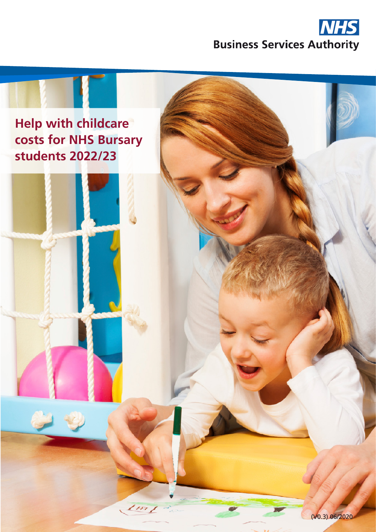

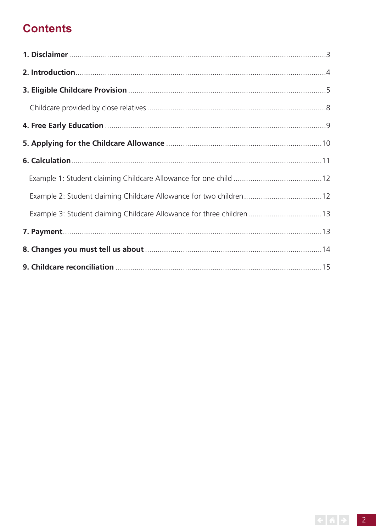## **Contents**

| Example 2: Student claiming Childcare Allowance for two children12   |  |
|----------------------------------------------------------------------|--|
| Example 3: Student claiming Childcare Allowance for three children13 |  |
|                                                                      |  |
|                                                                      |  |
|                                                                      |  |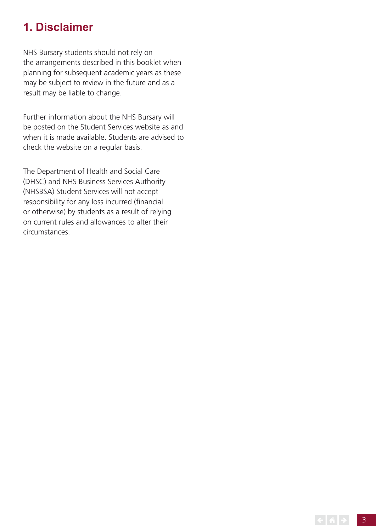## **1. Disclaimer**

NHS Bursary students should not rely on the arrangements described in this booklet when planning for subsequent academic years as these may be subject to review in the future and as a result may be liable to change.

Further information about the NHS Bursary will be posted on the Student Services website as and when it is made available. Students are advised to check the website on a regular basis.

The Department of Health and Social Care (DHSC) and NHS Business Services Authority (NHSBSA) Student Services will not accept responsibility for any loss incurred (fnancial or otherwise) by students as a result of relying on current rules and allowances to alter their circumstances.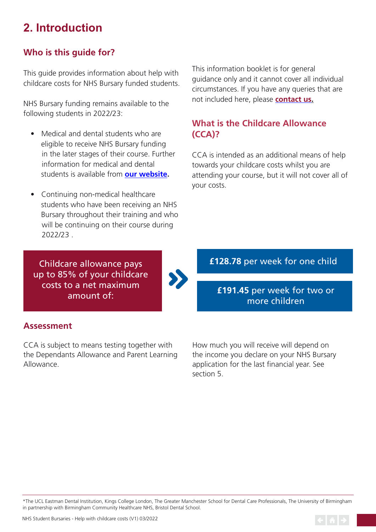# **2. Introduction**

## **Who is this guide for?**

This guide provides information about help with childcare costs for NHS Bursary funded students.

NHS Bursary funding remains available to the following students in 2022/23:

- Medical and dental students who are eligible to receive NHS Bursary funding in the later stages of their course. Further information for medical and dental students is available from **[our website.](https://www.nhsbsa.nhs.uk/nhs-bursary-students)**
- Continuing non-medical healthcare students who have been receiving an NHS Bursary throughout their training and who will be continuing on their course during 2022/23 .

This information booklet is for general guidance only and it cannot cover all individual circumstances. If you have any queries that are not included here, please **[contact us](https://www.nhsbsa.nhs.uk/nhs-bursary-students/contact-us).** 

## **What is the Childcare Allowance (CCA)?**

CCA is intended as an additional means of help towards your childcare costs whilst you are attending your course, but it will not cover all of your costs.

Childcare allowance pays up to 85% of your childcare costs to a net maximum amount of:



## **Assessment**

CCA is subject to means testing together with the Dependants Allowance and Parent Learning Allowance.

How much you will receive will depend on the income you declare on your NHS Bursary application for the last financial year. See section 5.

\*The UCL Eastman Dental Institution, Kings College London, The Greater Manchester School for Dental Care Professionals, The University of Birmingham in partnership with Birmingham Community Healthcare NHS, Bristol Dental School.



**£128.78** per week for one child

**£191.45** per week for two or more children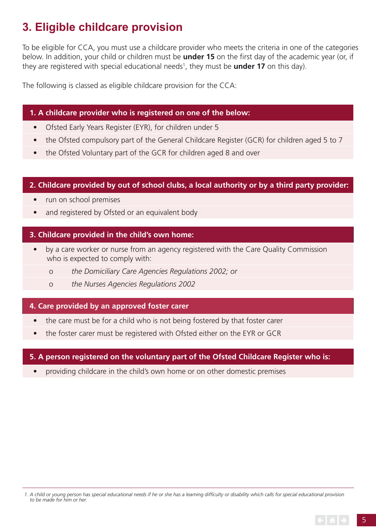# **3. Eligible childcare provision**

To be eligible for CCA, you must use a childcare provider who meets the criteria in one of the categories below. In addition, your child or children must be **under 15** on the frst day of the academic year (or, if they are registered with special educational needs<sup>1</sup>, they must be **under 17** on this day).

The following is classed as eligible childcare provision for the CCA:

### **1. A childcare provider who is registered on one of the below:**

- Ofsted Early Years Register (EYR), for children under 5
- the Ofsted compulsory part of the General Childcare Register (GCR) for children aged 5 to 7
- the Ofsted Voluntary part of the GCR for children aged 8 and over

### **2. Childcare provided by out of school clubs, a local authority or by a third party provider:**

- run on school premises
- and registered by Ofsted or an equivalent body

### **3. Childcare provided in the child's own home:**

- by a care worker or nurse from an agency registered with the Care Quality Commission who is expected to comply with:
	- o *the Domiciliary Care Agencies Regulations 2002; or*
	- o *the Nurses Agencies Regulations 2002*

### **4. Care provided by an approved foster carer**

- the care must be for a child who is not being fostered by that foster carer
- the foster carer must be registered with Ofsted either on the EYR or GCR

### **5. A person registered on the voluntary part of the Ofsted Childcare Register who is:**

• providing childcare in the child's own home or on other domestic premises

*<sup>1.</sup> A child or young person has special educational needs if he or she has a learning diffculty or disability which calls for special educational provision to be made for him or her.*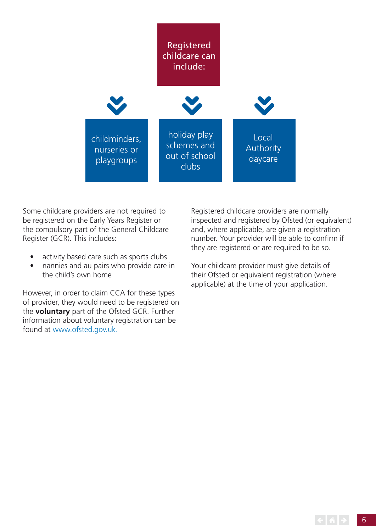

Some childcare providers are not required to be registered on the Early Years Register or the compulsory part of the General Childcare Register (GCR). This includes:

- activity based care such as sports clubs
- nannies and au pairs who provide care in the child's own home

However, in order to claim CCA for these types of provider, they would need to be registered on the **voluntary** part of the Ofsted GCR. Further information about voluntary registration can be found at <www.ofsted.gov.uk>.

Registered childcare providers are normally inspected and registered by Ofsted (or equivalent) and, where applicable, are given a registration number. Your provider will be able to confrm if they are registered or are required to be so.

Your childcare provider must give details of their Ofsted or equivalent registration (where applicable) at the time of your application.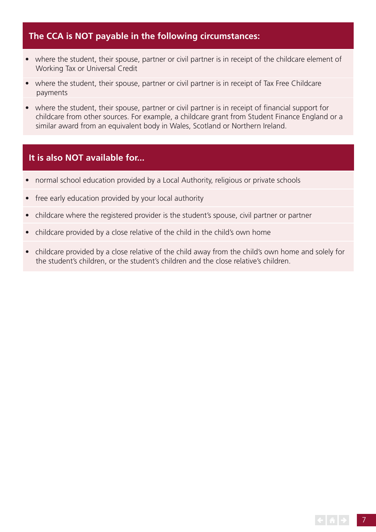## **The CCA is NOT payable in the following circumstances:**

- where the student, their spouse, partner or civil partner is in receipt of the childcare element of Working Tax or Universal Credit
- where the student, their spouse, partner or civil partner is in receipt of Tax Free Childcare payments
- where the student, their spouse, partner or civil partner is in receipt of financial support for childcare from other sources. For example, a childcare grant from Student Finance England or a similar award from an equivalent body in Wales, Scotland or Northern Ireland.

### **It is also NOT available for...**

- normal school education provided by a Local Authority, religious or private schools
- free early education provided by your local authority
- childcare where the registered provider is the student's spouse, civil partner or partner
- childcare provided by a close relative of the child in the child's own home
- childcare provided by a close relative of the child away from the child's own home and solely for the student's children, or the student's children and the close relative's children.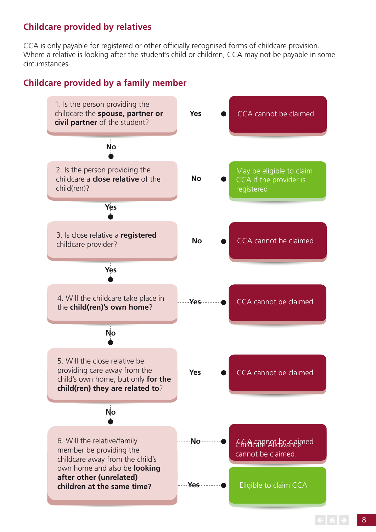### **Childcare provided by relatives**

CCA is only payable for registered or other officially recognised forms of childcare provision. Where a relative is looking after the student's child or children, CCA may not be payable in some circumstances.

## **Childcare provided by a family member**

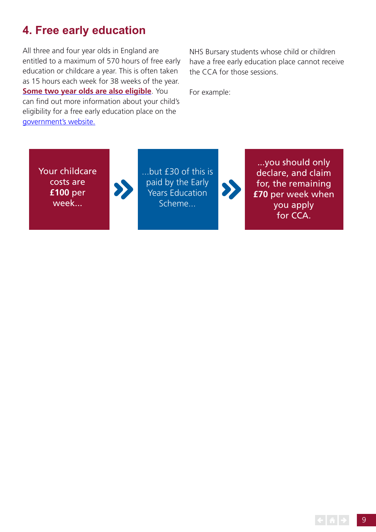## **4. Free early education**

All three and four year olds in England are entitled to a maximum of 570 hours of free early education or childcare a year. This is often taken as 15 hours each week for 38 weeks of the year. **[Some two year olds are also eligible](https://www.gov.uk/help-with-childcare-costs/free-childcare-2-year-olds?step-by-step-nav=f237ec8e-e82c-4ffa-8fba-2a88a739783b)**. You can find out more information about your child's eligibility for a free early education place on the [government's website](https://www.gov.uk/free-early-education).

NHS Bursary students whose child or children have a free early education place cannot receive the CCA for those sessions.

For example:

Your childcare costs are **£100** per week...

...but £30 of this is paid by the Early Years Education Scheme...

...you should only declare, and claim for, the remaining **£70** per week when you apply for CCA.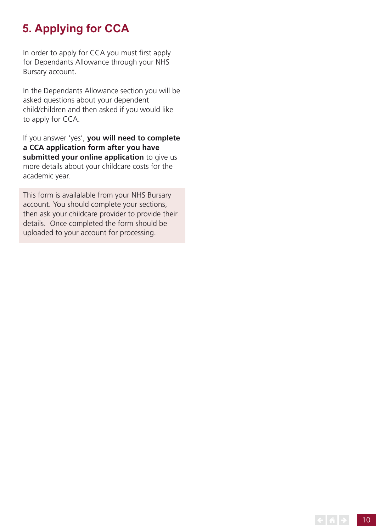# **5. Applying for CCA**

In order to apply for CCA you must first apply for Dependants Allowance through your NHS Bursary account.

In the Dependants Allowance section you will be asked questions about your dependent child/children and then asked if you would like to apply for CCA.

If you answer 'yes', **you will need to complete a CCA application form after you have submitted your online application** to give us more details about your childcare costs for the academic year.

This form is availalable from your NHS Bursary account. You should complete your sections, then ask your childcare provider to provide their details. Once completed the form should be uploaded to your account for processing.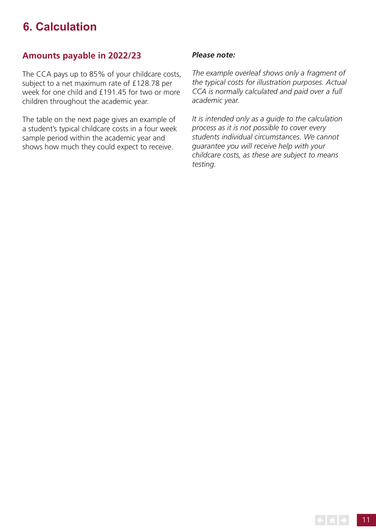## **6. Calculation**

## **Amounts payable in 2022/23**

The CCA pays up to 85% of your childcare costs, subject to a net maximum rate of £128.78 per week for one child and £191.45 for two or more children throughout the academic year.

The table on the next page gives an example of a student's typical childcare costs in a four week sample period within the academic year and shows how much they could expect to receive.

#### *Please note:*

*The example overleaf shows only a fragment of the typical costs for illustration purposes. Actual CCA is normally calculated and paid over a full academic year.* 

*It is intended only as a guide to the calculation process as it is not possible to cover every students individual circumstances. We cannot guarantee you will receive help with your childcare costs, as these are subject to means testing.*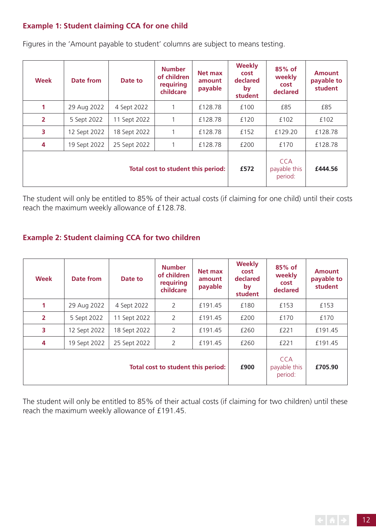### **Example 1: Student claiming CCA for one child**

| Week                               | <b>Date from</b> | Date to      | <b>Number</b><br>of children<br>requiring<br>childcare | Net max<br>amount<br>payable | <b>Weekly</b><br>cost<br>declared<br>by<br>student | 85% of<br>weekly<br>cost<br>declared  | <b>Amount</b><br>payable to<br>student |
|------------------------------------|------------------|--------------|--------------------------------------------------------|------------------------------|----------------------------------------------------|---------------------------------------|----------------------------------------|
| 1                                  | 29 Aug 2022      | 4 Sept 2022  |                                                        | £128.78                      | £100                                               | £85                                   | £85                                    |
| $\overline{2}$                     | 5 Sept 2022      | 11 Sept 2022 |                                                        | £128.78                      | £120                                               | £102                                  | £102                                   |
| 3                                  | 12 Sept 2022     | 18 Sept 2022 |                                                        | £128.78                      | £152                                               | £129.20                               | £128.78                                |
| 4                                  | 19 Sept 2022     | 25 Sept 2022 |                                                        | £128.78                      | £200                                               | £170                                  | £128.78                                |
| Total cost to student this period: |                  |              |                                                        |                              | £572                                               | <b>CCA</b><br>payable this<br>period: | £444.56                                |

Figures in the 'Amount payable to student' columns are subject to means testing.

The student will only be entitled to 85% of their actual costs (if claiming for one child) until their costs reach the maximum weekly allowance of £128.78.

### **Example 2: Student claiming CCA for two children**

| <b>Week</b>                        | <b>Date from</b> | Date to      | <b>Number</b><br>of children<br>requiring<br>childcare | Net max<br>amount<br>payable | <b>Weekly</b><br>cost<br>declared<br>by<br>student | 85% of<br>weekly<br>cost<br>declared  | <b>Amount</b><br>payable to<br>student |
|------------------------------------|------------------|--------------|--------------------------------------------------------|------------------------------|----------------------------------------------------|---------------------------------------|----------------------------------------|
| 1                                  | 29 Aug 2022      | 4 Sept 2022  | 2                                                      | £191.45                      | £180                                               | £153                                  | £153                                   |
| $\overline{2}$                     | 5 Sept 2022      | 11 Sept 2022 | 2                                                      | £191.45                      | £200                                               | £170                                  | £170                                   |
| 3                                  | 12 Sept 2022     | 18 Sept 2022 | 2                                                      | £191.45                      | £260                                               | £221                                  | £191.45                                |
| 4                                  | 19 Sept 2022     | 25 Sept 2022 | $\overline{2}$                                         | £191.45                      | £260                                               | £221                                  | £191.45                                |
| Total cost to student this period: |                  |              |                                                        |                              | £900                                               | <b>CCA</b><br>payable this<br>period: | £705.90                                |

The student will only be entitled to 85% of their actual costs (if claiming for two children) until these reach the maximum weekly allowance of £191.45.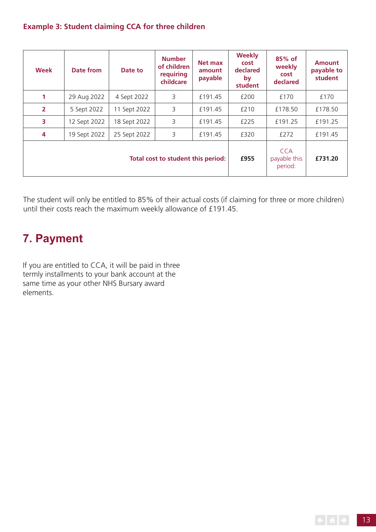### **Example 3: Student claiming CCA for three children**

| <b>Week</b>                        | Date from    | Date to      | <b>Number</b><br>of children<br>requiring<br>childcare | Net max<br>amount<br>payable | <b>Weekly</b><br>cost<br>declared<br>by<br>student | 85% of<br>weekly<br>cost<br>declared  | <b>Amount</b><br>payable to<br>student |
|------------------------------------|--------------|--------------|--------------------------------------------------------|------------------------------|----------------------------------------------------|---------------------------------------|----------------------------------------|
| 1                                  | 29 Aug 2022  | 4 Sept 2022  | 3                                                      | £191.45                      | £200                                               | £170                                  | £170                                   |
| $\overline{2}$                     | 5 Sept 2022  | 11 Sept 2022 | 3                                                      | £191.45                      | £210                                               | £178.50                               | £178.50                                |
| 3                                  | 12 Sept 2022 | 18 Sept 2022 | 3                                                      | £191.45                      | £225                                               | £191.25                               | £191.25                                |
| 4                                  | 19 Sept 2022 | 25 Sept 2022 | 3                                                      | £191.45                      | £320                                               | £272                                  | £191.45                                |
| Total cost to student this period: |              |              |                                                        |                              | £955                                               | <b>CCA</b><br>payable this<br>period: | £731.20                                |

The student will only be entitled to 85% of their actual costs (if claiming for three or more children) until their costs reach the maximum weekly allowance of £191.45.

## **7. Payment**

If you are entitled to CCA, it will be paid in three termly installments to your bank account at the same time as your other NHS Bursary award elements.